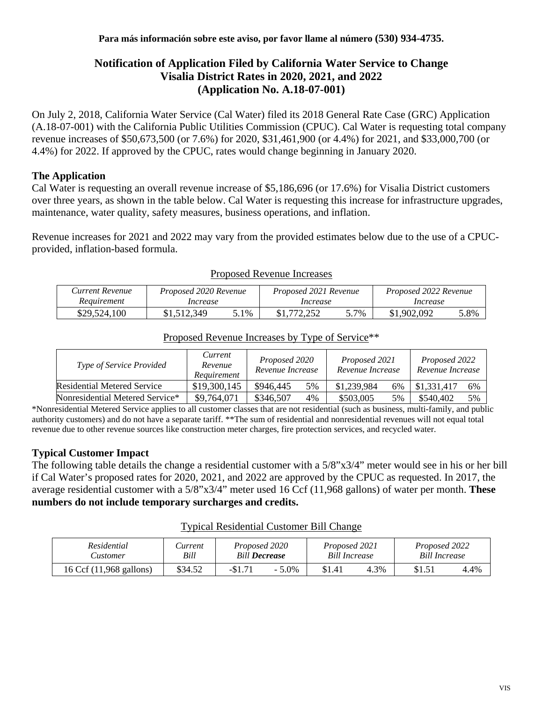## **Notification of Application Filed by California Water Service to Change Visalia District Rates in 2020, 2021, and 2022 (Application No. A.18-07-001)**

On July 2, 2018, California Water Service (Cal Water) filed its 2018 General Rate Case (GRC) Application (A.18-07-001) with the California Public Utilities Commission (CPUC). Cal Water is requesting total company revenue increases of \$50,673,500 (or 7.6%) for 2020, \$31,461,900 (or 4.4%) for 2021, and \$33,000,700 (or 4.4%) for 2022. If approved by the CPUC, rates would change beginning in January 2020.

### **The Application**

Cal Water is requesting an overall revenue increase of \$5,186,696 (or 17.6%) for Visalia District customers over three years, as shown in the table below. Cal Water is requesting this increase for infrastructure upgrades, maintenance, water quality, safety measures, business operations, and inflation.

Revenue increases for 2021 and 2022 may vary from the provided estimates below due to the use of a CPUCprovided, inflation-based formula.

| Current Revenue | Proposed 2020 Revenue |      | Proposed 2021 Revenue |      | Proposed 2022 Revenue |      |  |
|-----------------|-----------------------|------|-----------------------|------|-----------------------|------|--|
| Requirement     | Increase              |      | Increase              |      | Increase              |      |  |
| \$29,524,100    | \$1,512,349           | 5.1% |                       | 5.7% | \$1,902,092           | 5.8% |  |

#### Proposed Revenue Increases

| Type of Service Provided           | Current<br>Revenue<br>Requirement | Proposed 2020<br>Revenue Increase |    | Proposed 2021<br>Revenue Increase |    | Proposed 2022<br>Revenue Increase |    |
|------------------------------------|-----------------------------------|-----------------------------------|----|-----------------------------------|----|-----------------------------------|----|
| <b>Residential Metered Service</b> | \$19,300,145                      | \$946,445                         | 5% | \$1,239,984                       | 6% | \$1,331,417                       | 6% |
| Nonresidential Metered Service*    | \$9,764,071                       | \$346,507                         | 4% | \$503,005                         | 5% | \$540.402                         | 5% |

# Proposed Revenue Increases by Type of Service\*\*

\*Nonresidential Metered Service applies to all customer classes that are not residential (such as business, multi-family, and public authority customers) and do not have a separate tariff. \*\*The sum of residential and nonresidential revenues will not equal total revenue due to other revenue sources like construction meter charges, fire protection services, and recycled water.

#### **Typical Customer Impact**

The following table details the change a residential customer with a 5/8"x3/4" meter would see in his or her bill if Cal Water's proposed rates for 2020, 2021, and 2022 are approved by the CPUC as requested. In 2017, the average residential customer with a 5/8"x3/4" meter used 16 Ccf (11,968 gallons) of water per month. **These numbers do not include temporary surcharges and credits.**

| <b>Typical Residential Customer Bill Change</b> |  |  |
|-------------------------------------------------|--|--|
|                                                 |  |  |

| Residential             | <i>Lurrent</i> | Proposed 2020        |          | Proposed 2021        |      | Proposed 2022        |      |
|-------------------------|----------------|----------------------|----------|----------------------|------|----------------------|------|
| ustomer.                | Bill           | <b>Bill Decrease</b> |          | <b>Bill Increase</b> |      | <b>Bill Increase</b> |      |
| 16 Ccf (11,968 gallons) | \$34.52        | $-\$1.7$             | $-5.0\%$ | \$1.41               | 4.3% | \$1.51               | 4.4% |